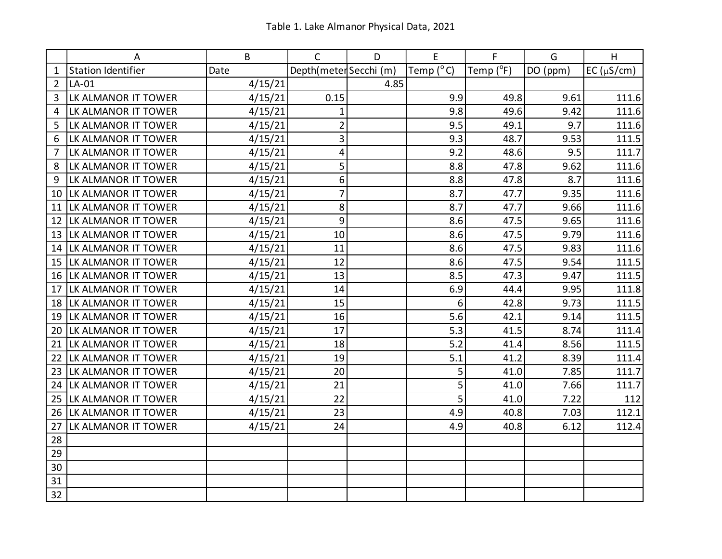|                | А                   | B       | C                      | D    | E                  | F         | G        | H                |
|----------------|---------------------|---------|------------------------|------|--------------------|-----------|----------|------------------|
| 1              | Station Identifier  | Date    | Depth(meter Secchi (m) |      | Temp $(^{\circ}C)$ | Temp (°F) | DO (ppm) | EC ( $\mu$ S/cm) |
| $\overline{2}$ | $LA-01$             | 4/15/21 |                        | 4.85 |                    |           |          |                  |
| 3              | LK ALMANOR IT TOWER | 4/15/21 | 0.15                   |      | 9.9                | 49.8      | 9.61     | 111.6            |
| 4              | LK ALMANOR IT TOWER | 4/15/21 | 1                      |      | 9.8                | 49.6      | 9.42     | 111.6            |
| 5              | LK ALMANOR IT TOWER | 4/15/21 | $\overline{2}$         |      | 9.5                | 49.1      | 9.7      | 111.6            |
| 6              | LK ALMANOR IT TOWER | 4/15/21 | 3                      |      | 9.3                | 48.7      | 9.53     | 111.5            |
| 7              | LK ALMANOR IT TOWER | 4/15/21 | 4                      |      | 9.2                | 48.6      | 9.5      | 111.7            |
| 8              | LK ALMANOR IT TOWER | 4/15/21 | 5                      |      | 8.8                | 47.8      | 9.62     | 111.6            |
| 9              | LK ALMANOR IT TOWER | 4/15/21 | 6                      |      | 8.8                | 47.8      | 8.7      | 111.6            |
| 10             | LK ALMANOR IT TOWER | 4/15/21 | $\overline{7}$         |      | 8.7                | 47.7      | 9.35     | 111.6            |
| 11             | LK ALMANOR IT TOWER | 4/15/21 | 8                      |      | 8.7                | 47.7      | 9.66     | 111.6            |
| 12             | LK ALMANOR IT TOWER | 4/15/21 | 9                      |      | 8.6                | 47.5      | 9.65     | 111.6            |
| 13             | LK ALMANOR IT TOWER | 4/15/21 | 10                     |      | 8.6                | 47.5      | 9.79     | 111.6            |
| 14             | LK ALMANOR IT TOWER | 4/15/21 | 11                     |      | 8.6                | 47.5      | 9.83     | 111.6            |
| 15             | LK ALMANOR IT TOWER | 4/15/21 | 12                     |      | 8.6                | 47.5      | 9.54     | 111.5            |
| 16             | LK ALMANOR IT TOWER | 4/15/21 | 13                     |      | 8.5                | 47.3      | 9.47     | 111.5            |
| 17             | LK ALMANOR IT TOWER | 4/15/21 | 14                     |      | 6.9                | 44.4      | 9.95     | 111.8            |
| 18             | LK ALMANOR IT TOWER | 4/15/21 | 15                     |      | 6                  | 42.8      | 9.73     | 111.5            |
| 19             | LK ALMANOR IT TOWER | 4/15/21 | 16                     |      | 5.6                | 42.1      | 9.14     | 111.5            |
| 20             | LK ALMANOR IT TOWER | 4/15/21 | 17                     |      | 5.3                | 41.5      | 8.74     | 111.4            |
| 21             | LK ALMANOR IT TOWER | 4/15/21 | 18                     |      | 5.2                | 41.4      | 8.56     | 111.5            |
| 22             | LK ALMANOR IT TOWER | 4/15/21 | 19                     |      | 5.1                | 41.2      | 8.39     | 111.4            |
| 23             | LK ALMANOR IT TOWER | 4/15/21 | 20                     |      | 5                  | 41.0      | 7.85     | 111.7            |
| 24             | LK ALMANOR IT TOWER | 4/15/21 | 21                     |      | 5                  | 41.0      | 7.66     | 111.7            |
| 25             | LK ALMANOR IT TOWER | 4/15/21 | 22                     |      | 5                  | 41.0      | 7.22     | 112              |
| 26             | LK ALMANOR IT TOWER | 4/15/21 | 23                     |      | 4.9                | 40.8      | 7.03     | 112.1            |
| 27             | LK ALMANOR IT TOWER | 4/15/21 | 24                     |      | 4.9                | 40.8      | 6.12     | 112.4            |
| 28             |                     |         |                        |      |                    |           |          |                  |
| 29             |                     |         |                        |      |                    |           |          |                  |
| 30             |                     |         |                        |      |                    |           |          |                  |
| 31             |                     |         |                        |      |                    |           |          |                  |
| 32             |                     |         |                        |      |                    |           |          |                  |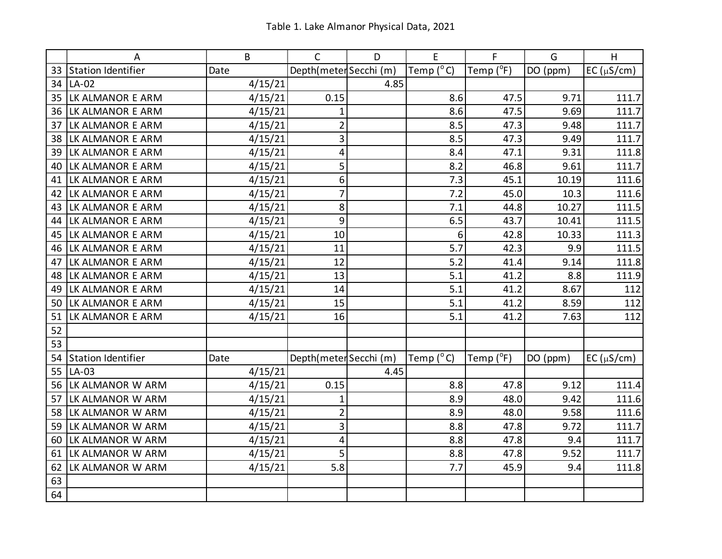|    | A                         | B       | $\mathsf{C}$           | D    | E                  | F         | G        | H              |
|----|---------------------------|---------|------------------------|------|--------------------|-----------|----------|----------------|
| 33 | <b>Station Identifier</b> | Date    | Depth(meter Secchi (m) |      | Temp $(^{\circ}C)$ | Temp (°F) | DO (ppm) | $EC(\mu S/cm)$ |
| 34 | $LA-02$                   | 4/15/21 |                        | 4.85 |                    |           |          |                |
| 35 | LK ALMANOR E ARM          | 4/15/21 | 0.15                   |      | 8.6                | 47.5      | 9.71     | 111.7          |
| 36 | LK ALMANOR E ARM          | 4/15/21 | 1                      |      | 8.6                | 47.5      | 9.69     | 111.7          |
| 37 | LK ALMANOR E ARM          | 4/15/21 | $\overline{2}$         |      | 8.5                | 47.3      | 9.48     | 111.7          |
| 38 | LK ALMANOR E ARM          | 4/15/21 | 3                      |      | 8.5                | 47.3      | 9.49     | 111.7          |
| 39 | LK ALMANOR E ARM          | 4/15/21 | 4                      |      | 8.4                | 47.1      | 9.31     | 111.8          |
| 40 | LK ALMANOR E ARM          | 4/15/21 | 5                      |      | 8.2                | 46.8      | 9.61     | 111.7          |
| 41 | LK ALMANOR E ARM          | 4/15/21 | 6                      |      | 7.3                | 45.1      | 10.19    | 111.6          |
| 42 | LK ALMANOR E ARM          | 4/15/21 | 7                      |      | 7.2                | 45.0      | 10.3     | 111.6          |
| 43 | LK ALMANOR E ARM          | 4/15/21 | 8                      |      | 7.1                | 44.8      | 10.27    | 111.5          |
| 44 | LK ALMANOR E ARM          | 4/15/21 | 9                      |      | 6.5                | 43.7      | 10.41    | 111.5          |
| 45 | LK ALMANOR E ARM          | 4/15/21 | 10                     |      | 6                  | 42.8      | 10.33    | 111.3          |
| 46 | LK ALMANOR E ARM          | 4/15/21 | 11                     |      | 5.7                | 42.3      | 9.9      | 111.5          |
| 47 | LK ALMANOR E ARM          | 4/15/21 | 12                     |      | 5.2                | 41.4      | 9.14     | 111.8          |
| 48 | LK ALMANOR E ARM          | 4/15/21 | 13                     |      | 5.1                | 41.2      | 8.8      | 111.9          |
| 49 | LK ALMANOR E ARM          | 4/15/21 | 14                     |      | 5.1                | 41.2      | 8.67     | 112            |
| 50 | LK ALMANOR E ARM          | 4/15/21 | 15                     |      | 5.1                | 41.2      | 8.59     | 112            |
| 51 | LK ALMANOR E ARM          | 4/15/21 | 16                     |      | 5.1                | 41.2      | 7.63     | 112            |
| 52 |                           |         |                        |      |                    |           |          |                |
| 53 |                           |         |                        |      |                    |           |          |                |
| 54 | <b>Station Identifier</b> | Date    | Depth(meter Secchi (m) |      | Temp $(^{\circ}C)$ | Temp (°F) | DO (ppm) | $EC(\mu S/cm)$ |
| 55 | $LA-03$                   | 4/15/21 |                        | 4.45 |                    |           |          |                |
| 56 | LK ALMANOR W ARM          | 4/15/21 | 0.15                   |      | 8.8                | 47.8      | 9.12     | 111.4          |
| 57 | LK ALMANOR W ARM          | 4/15/21 | $\mathbf 1$            |      | 8.9                | 48.0      | 9.42     | 111.6          |
| 58 | LK ALMANOR W ARM          | 4/15/21 | $\overline{2}$         |      | 8.9                | 48.0      | 9.58     | 111.6          |
| 59 | LK ALMANOR W ARM          | 4/15/21 | 3                      |      | 8.8                | 47.8      | 9.72     | 111.7          |
| 60 | LK ALMANOR W ARM          | 4/15/21 | 4                      |      | 8.8                | 47.8      | 9.4      | 111.7          |
| 61 | LK ALMANOR W ARM          | 4/15/21 | 5                      |      | 8.8                | 47.8      | 9.52     | 111.7          |
| 62 | LK ALMANOR W ARM          | 4/15/21 | 5.8                    |      | 7.7                | 45.9      | 9.4      | 111.8          |
| 63 |                           |         |                        |      |                    |           |          |                |
| 64 |                           |         |                        |      |                    |           |          |                |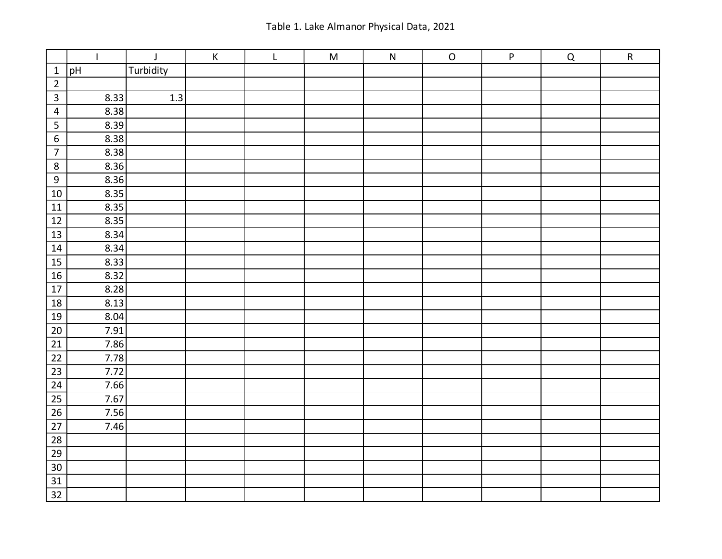|                         | $\mathbf{I}$ | $\mathsf J$ | $\mathsf K$ | $\mathsf L$ | ${\sf M}$ | ${\sf N}$ | ${\mathsf O}$ | P | $\mathsf Q$ | $\mathsf{R}$ |
|-------------------------|--------------|-------------|-------------|-------------|-----------|-----------|---------------|---|-------------|--------------|
| $\mathbf{1}$            | pH           | Turbidity   |             |             |           |           |               |   |             |              |
| $\overline{2}$          |              |             |             |             |           |           |               |   |             |              |
| $\overline{3}$          | 8.33         | 1.3         |             |             |           |           |               |   |             |              |
| $\overline{4}$          | 8.38         |             |             |             |           |           |               |   |             |              |
| $\overline{\mathbf{5}}$ | 8.39         |             |             |             |           |           |               |   |             |              |
| $\overline{6}$          | 8.38         |             |             |             |           |           |               |   |             |              |
| $\overline{7}$          | 8.38         |             |             |             |           |           |               |   |             |              |
| $\,8\,$                 | 8.36         |             |             |             |           |           |               |   |             |              |
| $\overline{9}$          | 8.36         |             |             |             |           |           |               |   |             |              |
| $\overline{10}$         | 8.35         |             |             |             |           |           |               |   |             |              |
| $11\,$                  | 8.35         |             |             |             |           |           |               |   |             |              |
| $12$                    | 8.35         |             |             |             |           |           |               |   |             |              |
| $\overline{13}$         | 8.34         |             |             |             |           |           |               |   |             |              |
| $14\,$                  | 8.34         |             |             |             |           |           |               |   |             |              |
| $15\,$                  | 8.33         |             |             |             |           |           |               |   |             |              |
| $\overline{16}$         | 8.32         |             |             |             |           |           |               |   |             |              |
| $\overline{17}$         | 8.28         |             |             |             |           |           |               |   |             |              |
| $18\,$                  | 8.13         |             |             |             |           |           |               |   |             |              |
| $19\,$                  | 8.04         |             |             |             |           |           |               |   |             |              |
| $\overline{20}$         | 7.91         |             |             |             |           |           |               |   |             |              |
| $\overline{21}$         | 7.86         |             |             |             |           |           |               |   |             |              |
| 22                      | 7.78         |             |             |             |           |           |               |   |             |              |
| $\overline{23}$         | 7.72         |             |             |             |           |           |               |   |             |              |
| $\overline{24}$         | 7.66         |             |             |             |           |           |               |   |             |              |
| $\overline{25}$         | 7.67         |             |             |             |           |           |               |   |             |              |
| $26\,$                  | 7.56         |             |             |             |           |           |               |   |             |              |
| $\overline{27}$         | 7.46         |             |             |             |           |           |               |   |             |              |
| $\overline{28}$         |              |             |             |             |           |           |               |   |             |              |
| $\overline{29}$         |              |             |             |             |           |           |               |   |             |              |
| $30\,$                  |              |             |             |             |           |           |               |   |             |              |
| $\overline{31}$         |              |             |             |             |           |           |               |   |             |              |
| $\overline{32}$         |              |             |             |             |           |           |               |   |             |              |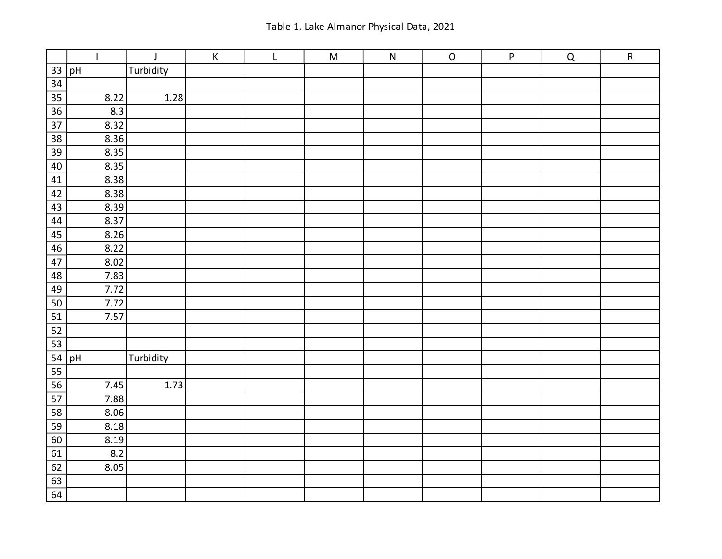|                 | $\mathbf{I}$ | $\mathsf J$ | $\mathsf K$ | $\mathsf L$ | ${\sf M}$ | ${\sf N}$ | ${\mathsf O}$ | P | $\mathsf Q$ | ${\sf R}$ |
|-----------------|--------------|-------------|-------------|-------------|-----------|-----------|---------------|---|-------------|-----------|
| $33\,$          | pH           | Turbidity   |             |             |           |           |               |   |             |           |
| 34              |              |             |             |             |           |           |               |   |             |           |
| $\overline{35}$ | 8.22         | 1.28        |             |             |           |           |               |   |             |           |
| 36              | 8.3          |             |             |             |           |           |               |   |             |           |
| $\overline{37}$ | 8.32         |             |             |             |           |           |               |   |             |           |
| $\overline{38}$ | 8.36         |             |             |             |           |           |               |   |             |           |
| $\overline{39}$ | 8.35         |             |             |             |           |           |               |   |             |           |
| $40\,$          | 8.35         |             |             |             |           |           |               |   |             |           |
| 41              | 8.38         |             |             |             |           |           |               |   |             |           |
| $\overline{42}$ | 8.38         |             |             |             |           |           |               |   |             |           |
| 43              | 8.39         |             |             |             |           |           |               |   |             |           |
| 44              | 8.37         |             |             |             |           |           |               |   |             |           |
| $\overline{45}$ | 8.26         |             |             |             |           |           |               |   |             |           |
| $\overline{46}$ | 8.22         |             |             |             |           |           |               |   |             |           |
| $47\,$          | 8.02         |             |             |             |           |           |               |   |             |           |
| 48              | 7.83         |             |             |             |           |           |               |   |             |           |
| $\overline{49}$ | 7.72         |             |             |             |           |           |               |   |             |           |
| $\overline{50}$ | 7.72         |             |             |             |           |           |               |   |             |           |
| 51              | 7.57         |             |             |             |           |           |               |   |             |           |
| $\overline{52}$ |              |             |             |             |           |           |               |   |             |           |
| $\overline{53}$ |              |             |             |             |           |           |               |   |             |           |
|                 | $54$ pH      | Turbidity   |             |             |           |           |               |   |             |           |
| $\overline{55}$ |              |             |             |             |           |           |               |   |             |           |
| $\overline{56}$ | 7.45         | 1.73        |             |             |           |           |               |   |             |           |
| $\overline{57}$ | 7.88         |             |             |             |           |           |               |   |             |           |
| 58              | 8.06         |             |             |             |           |           |               |   |             |           |
| $\overline{59}$ | 8.18         |             |             |             |           |           |               |   |             |           |
| $\overline{60}$ | 8.19         |             |             |             |           |           |               |   |             |           |
| $\overline{61}$ | 8.2          |             |             |             |           |           |               |   |             |           |
| $\overline{62}$ | 8.05         |             |             |             |           |           |               |   |             |           |
| $\overline{63}$ |              |             |             |             |           |           |               |   |             |           |
| $\overline{64}$ |              |             |             |             |           |           |               |   |             |           |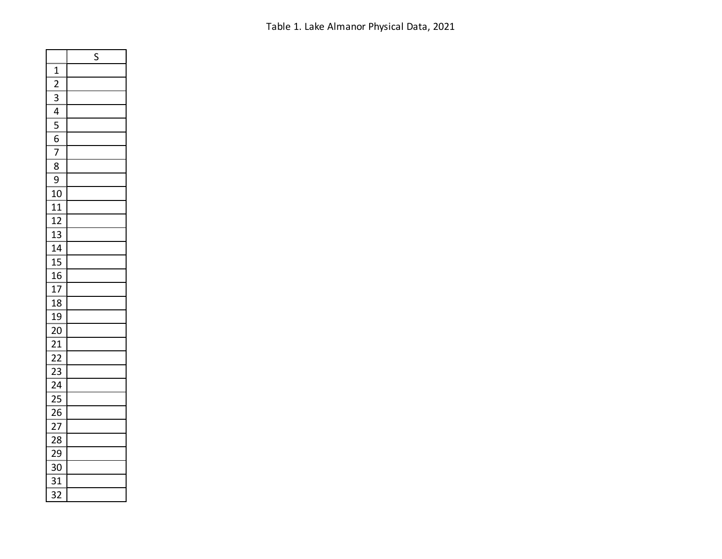Table 1. Lake Almanor Physical Data, 2021

|                                           | Ś |
|-------------------------------------------|---|
| $\mathbf{1}$                              |   |
| $\frac{1}{2}$                             |   |
| $\overline{3}$                            |   |
| $\frac{1}{4}$                             |   |
| $\frac{1}{5}$ $\frac{5}{6}$ $\frac{7}{7}$ |   |
|                                           |   |
|                                           |   |
| $\overline{8}$                            |   |
| 9                                         |   |
| 10                                        |   |
| 11                                        |   |
| 12                                        |   |
| .<br>13                                   |   |
| 14                                        |   |
| 15                                        |   |
| $\overline{16}$                           |   |
| $\overline{17}$                           |   |
| $1\overline{8}$                           |   |
| 19                                        |   |
| 20                                        |   |
| 21                                        |   |
| $\overline{22}$                           |   |
| $\overline{23}$                           |   |
| $\overline{24}$                           |   |
| $\frac{2}{5}$                             |   |
| 26                                        |   |
| $\overline{27}$                           |   |
| 28                                        |   |
| 29                                        |   |
| 30                                        |   |
| 31                                        |   |
| $\overline{32}$                           |   |